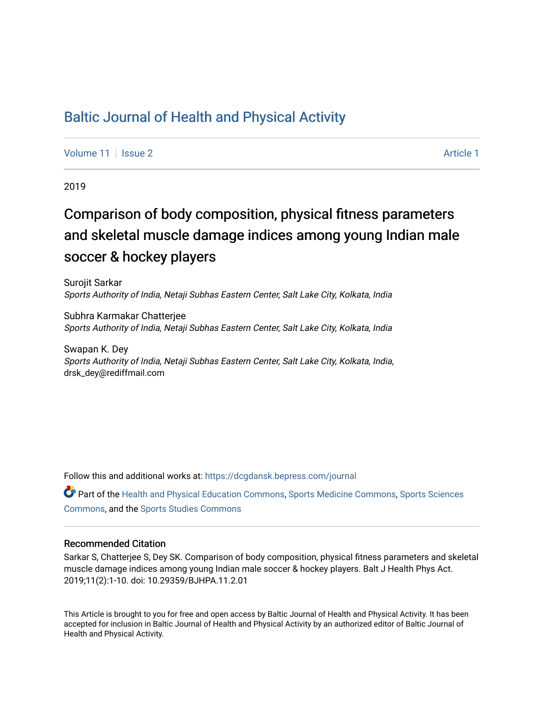## [Baltic Journal of Health and Physical Activity](https://dcgdansk.bepress.com/journal)

[Volume 11](https://dcgdansk.bepress.com/journal/vol11) | [Issue 2](https://dcgdansk.bepress.com/journal/vol11/iss2) Article 1

2019

# Comparison of body composition, physical fitness parameters and skeletal muscle damage indices among young Indian male soccer & hockey players

Surojit Sarkar Sports Authority of India, Netaji Subhas Eastern Center, Salt Lake City, Kolkata, India

Subhra Karmakar Chatterjee Sports Authority of India, Netaji Subhas Eastern Center, Salt Lake City, Kolkata, India

Swapan K. Dey Sports Authority of India, Netaji Subhas Eastern Center, Salt Lake City, Kolkata, India, drsk\_dey@rediffmail.com

Follow this and additional works at: [https://dcgdansk.bepress.com/journal](https://dcgdansk.bepress.com/journal?utm_source=dcgdansk.bepress.com%2Fjournal%2Fvol11%2Fiss2%2F1&utm_medium=PDF&utm_campaign=PDFCoverPages)

Part of the [Health and Physical Education Commons](http://network.bepress.com/hgg/discipline/1327?utm_source=dcgdansk.bepress.com%2Fjournal%2Fvol11%2Fiss2%2F1&utm_medium=PDF&utm_campaign=PDFCoverPages), [Sports Medicine Commons,](http://network.bepress.com/hgg/discipline/1331?utm_source=dcgdansk.bepress.com%2Fjournal%2Fvol11%2Fiss2%2F1&utm_medium=PDF&utm_campaign=PDFCoverPages) [Sports Sciences](http://network.bepress.com/hgg/discipline/759?utm_source=dcgdansk.bepress.com%2Fjournal%2Fvol11%2Fiss2%2F1&utm_medium=PDF&utm_campaign=PDFCoverPages) [Commons](http://network.bepress.com/hgg/discipline/759?utm_source=dcgdansk.bepress.com%2Fjournal%2Fvol11%2Fiss2%2F1&utm_medium=PDF&utm_campaign=PDFCoverPages), and the [Sports Studies Commons](http://network.bepress.com/hgg/discipline/1198?utm_source=dcgdansk.bepress.com%2Fjournal%2Fvol11%2Fiss2%2F1&utm_medium=PDF&utm_campaign=PDFCoverPages) 

#### Recommended Citation

Sarkar S, Chatterjee S, Dey SK. Comparison of body composition, physical fitness parameters and skeletal muscle damage indices among young Indian male soccer & hockey players. Balt J Health Phys Act. 2019;11(2):1-10. doi: 10.29359/BJHPA.11.2.01

This Article is brought to you for free and open access by Baltic Journal of Health and Physical Activity. It has been accepted for inclusion in Baltic Journal of Health and Physical Activity by an authorized editor of Baltic Journal of Health and Physical Activity.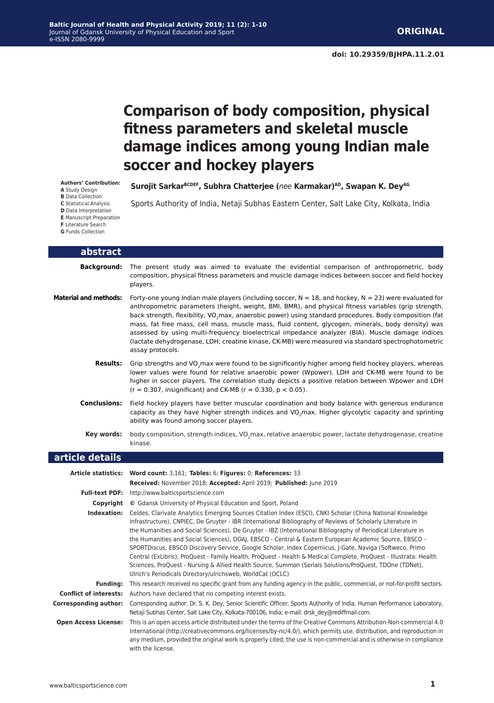# **Comparison of body composition, physical fitness parameters and skeletal muscle damage indices among young Indian male soccer and hockey players**

**Surojit SarkarBCDEF, Subhra Chatterjee (***nee* **Karmakar)AD, Swapan K. DeyAG**

**Authors' Contribution: A** Study Design **B** Data Collection **C** Statistical Analysis

Sports Authority of India, Netaji Subhas Eastern Center, Salt Lake City, Kolkata, India

- **D** Data Interpretation
- **F** Literature Search<br>**G** Funds Collection

|  | <b>G</b> Funds Collection |
|--|---------------------------|
|  |                           |

| abstract                     |                                                                                                                                                                                                                                                                                                                                                                                                                                                                                                                                                                                                                                                                                                                                                                                                                                                                           |
|------------------------------|---------------------------------------------------------------------------------------------------------------------------------------------------------------------------------------------------------------------------------------------------------------------------------------------------------------------------------------------------------------------------------------------------------------------------------------------------------------------------------------------------------------------------------------------------------------------------------------------------------------------------------------------------------------------------------------------------------------------------------------------------------------------------------------------------------------------------------------------------------------------------|
| <b>Background:</b>           | The present study was aimed to evaluate the evidential comparison of anthropometric, body<br>composition, physical fitness parameters and muscle damage indices between soccer and field hockey<br>players.                                                                                                                                                                                                                                                                                                                                                                                                                                                                                                                                                                                                                                                               |
| <b>Material and methods:</b> | Forty-one young Indian male players (including soccer, $N = 18$ , and hockey, $N = 23$ ) were evaluated for<br>anthropometric parameters (height, weight, BMI, BMR), and physical fitness variables (grip strength,<br>back strength, flexibility, VO <sub>2</sub> max, anaerobic power) using standard procedures. Body composition (fat<br>mass, fat free mass, cell mass, muscle mass, fluid content, glycogen, minerals, body density) was<br>assessed by using multi-frequency bioelectrical impedance analyzer (BIA). Muscle damage indices<br>(lactate dehydrogenase, LDH; creatine kinase, CK-MB) were measured via standard spectrophotometric<br>assay protocols.                                                                                                                                                                                               |
|                              | Results: Grip strengths and VO <sub>2</sub> max were found to be significantly higher among field hockey players, whereas<br>lower values were found for relative anaerobic power (Wpower). LDH and CK-MB were found to be<br>higher in soccer players. The correlation study depicts a positive relation between Wpower and LDH<br>$(r = 0.307,$ insignificant) and CK-MB ( $r = 0.330, p < 0.05$ ).                                                                                                                                                                                                                                                                                                                                                                                                                                                                     |
| <b>Conclusions:</b>          | Field hockey players have better muscular coordination and body balance with generous endurance<br>capacity as they have higher strength indices and VO <sub>2</sub> max. Higher glycolytic capacity and sprinting<br>ability was found among soccer players.                                                                                                                                                                                                                                                                                                                                                                                                                                                                                                                                                                                                             |
| Key words:                   | body composition, strength indices, VO <sub>2</sub> max, relative anaerobic power, lactate dehydrogenase, creatine<br>kinase.                                                                                                                                                                                                                                                                                                                                                                                                                                                                                                                                                                                                                                                                                                                                             |
|                              |                                                                                                                                                                                                                                                                                                                                                                                                                                                                                                                                                                                                                                                                                                                                                                                                                                                                           |
| article details              |                                                                                                                                                                                                                                                                                                                                                                                                                                                                                                                                                                                                                                                                                                                                                                                                                                                                           |
|                              | Article statistics: Word count: 3,161; Tables: 6; Figures: 0; References: 33                                                                                                                                                                                                                                                                                                                                                                                                                                                                                                                                                                                                                                                                                                                                                                                              |
|                              | Received: November 2018; Accepted: April 2019; Published: June 2019                                                                                                                                                                                                                                                                                                                                                                                                                                                                                                                                                                                                                                                                                                                                                                                                       |
|                              | Full-text PDF: http://www.balticsportscience.com                                                                                                                                                                                                                                                                                                                                                                                                                                                                                                                                                                                                                                                                                                                                                                                                                          |
|                              | Copyright © Gdansk University of Physical Education and Sport, Poland                                                                                                                                                                                                                                                                                                                                                                                                                                                                                                                                                                                                                                                                                                                                                                                                     |
|                              | Indexation: Celdes, Clarivate Analytics Emerging Sources Citation Index (ESCI), CNKI Scholar (China National Knowledge<br>Infrastructure), CNPIEC, De Gruyter - IBR (International Bibliography of Reviews of Scholarly Literature in<br>the Humanities and Social Sciences), De Gruyter - IBZ (International Bibliography of Periodical Literature in<br>the Humanities and Social Sciences), DOAJ, EBSCO - Central & Eastern European Academic Source, EBSCO -<br>SPORTDiscus, EBSCO Discovery Service, Google Scholar, Index Copernicus, J-Gate, Naviga (Softweco, Primo<br>Central (ExLibris), ProQuest - Family Health, ProQuest - Health & Medical Complete, ProQuest - Illustrata: Health<br>Sciences, ProQuest - Nursing & Allied Health Source, Summon (Serials Solutions/ProQuest, TDOne (TDNet),<br>Ulrich's Periodicals Directory/ulrichsweb, WorldCat (OCLC) |
|                              | Funding: This research received no specific grant from any funding agency in the public, commercial, or not-for-profit sectors.                                                                                                                                                                                                                                                                                                                                                                                                                                                                                                                                                                                                                                                                                                                                           |
|                              | <b>Conflict of interests:</b> Authors have declared that no competing interest exists.                                                                                                                                                                                                                                                                                                                                                                                                                                                                                                                                                                                                                                                                                                                                                                                    |
|                              | Corresponding author: Corresponding author: Dr. S. K. Dey, Senior Scientific Officer, Sports Authority of India, Human Performance Laboratory,<br>Netaji Subhas Center, Salt Lake City, Kolkata-700106, India; e-mail: drsk dey@rediffmail.com.<br>This is an open access article distributed under the terms of the Creative Commons Attribution-Non-commercial 4.0                                                                                                                                                                                                                                                                                                                                                                                                                                                                                                      |

**E** Manuscript Preparation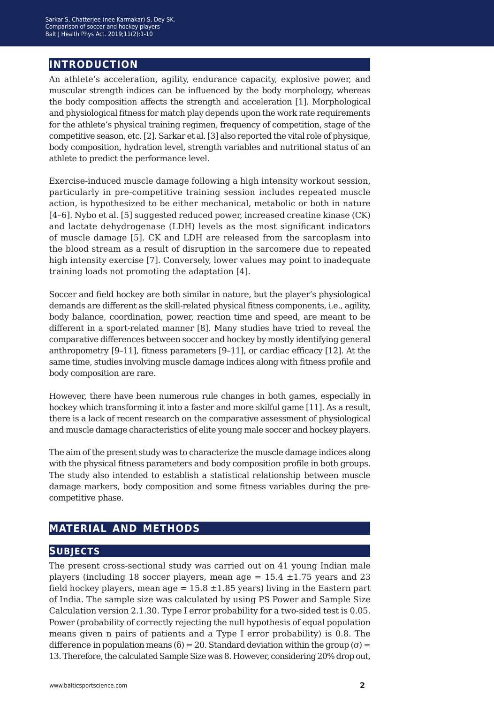### **introduction**

An athlete's acceleration, agility, endurance capacity, explosive power, and muscular strength indices can be influenced by the body morphology, whereas the body composition affects the strength and acceleration [1]. Morphological and physiological fitness for match play depends upon the work rate requirements for the athlete's physical training regimen, frequency of competition, stage of the competitive season, etc. [2]. Sarkar et al. [3] also reported the vital role of physique, body composition, hydration level, strength variables and nutritional status of an athlete to predict the performance level.

Exercise-induced muscle damage following a high intensity workout session, particularly in pre-competitive training session includes repeated muscle action, is hypothesized to be either mechanical, metabolic or both in nature [4–6]. Nybo et al. [5] suggested reduced power, increased creatine kinase (CK) and lactate dehydrogenase (LDH) levels as the most significant indicators of muscle damage [5]. CK and LDH are released from the sarcoplasm into the blood stream as a result of disruption in the sarcomere due to repeated high intensity exercise [7]. Conversely, lower values may point to inadequate training loads not promoting the adaptation [4].

Soccer and field hockey are both similar in nature, but the player's physiological demands are different as the skill-related physical fitness components, i.e., agility, body balance, coordination, power, reaction time and speed, are meant to be different in a sport-related manner [8]. Many studies have tried to reveal the comparative differences between soccer and hockey by mostly identifying general anthropometry [9–11], fitness parameters [9–11], or cardiac efficacy [12]. At the same time, studies involving muscle damage indices along with fitness profile and body composition are rare.

However, there have been numerous rule changes in both games, especially in hockey which transforming it into a faster and more skilful game [11]. As a result, there is a lack of recent research on the comparative assessment of physiological and muscle damage characteristics of elite young male soccer and hockey players.

The aim of the present study was to characterize the muscle damage indices along with the physical fitness parameters and body composition profile in both groups. The study also intended to establish a statistical relationship between muscle damage markers, body composition and some fitness variables during the precompetitive phase.

### **material and methods**

#### **subjects**

The present cross-sectional study was carried out on 41 young Indian male players (including 18 soccer players, mean age =  $15.4 \pm 1.75$  years and 23 field hockey players, mean age =  $15.8 \pm 1.85$  years) living in the Eastern part of India. The sample size was calculated by using PS Power and Sample Size Calculation version 2.1.30. Type I error probability for a two-sided test is 0.05. Power (probability of correctly rejecting the null hypothesis of equal population means given n pairs of patients and a Type I error probability) is 0.8. The difference in population means ( $\delta$ ) = 20. Standard deviation within the group ( $\sigma$ ) = 13. Therefore, the calculated Sample Size was 8. However, considering 20% drop out,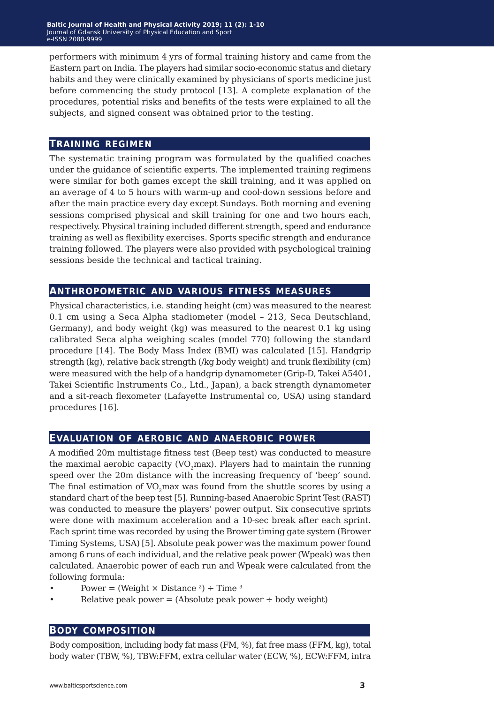performers with minimum 4 yrs of formal training history and came from the Eastern part on India. The players had similar socio-economic status and dietary habits and they were clinically examined by physicians of sports medicine just before commencing the study protocol [13]. A complete explanation of the procedures, potential risks and benefits of the tests were explained to all the subjects, and signed consent was obtained prior to the testing.

#### **training regimen**

The systematic training program was formulated by the qualified coaches under the guidance of scientific experts. The implemented training regimens were similar for both games except the skill training, and it was applied on an average of 4 to 5 hours with warm-up and cool-down sessions before and after the main practice every day except Sundays. Both morning and evening sessions comprised physical and skill training for one and two hours each, respectively. Physical training included different strength, speed and endurance training as well as flexibility exercises. Sports specific strength and endurance training followed. The players were also provided with psychological training sessions beside the technical and tactical training.

#### **anthropometric and various fitness measures**

Physical characteristics, i.e. standing height (cm) was measured to the nearest 0.1 cm using a Seca Alpha stadiometer (model – 213, Seca Deutschland, Germany), and body weight (kg) was measured to the nearest 0.1 kg using calibrated Seca alpha weighing scales (model 770) following the standard procedure [14]. The Body Mass Index (BMI) was calculated [15]. Handgrip strength (kg), relative back strength (/kg body weight) and trunk flexibility (cm) were measured with the help of a handgrip dynamometer (Grip-D, Takei A5401, Takei Scientific Instruments Co., Ltd., Japan), a back strength dynamometer and a sit-reach flexometer (Lafayette Instrumental co, USA) using standard procedures [16].

#### **evaluation of aerobic and anaerobic power**

A modified 20m multistage fitness test (Beep test) was conducted to measure the maximal aerobic capacity ( $VO<sub>2</sub>$ max). Players had to maintain the running speed over the 20m distance with the increasing frequency of 'beep' sound. The final estimation of VO<sub>2</sub>max was found from the shuttle scores by using a standard chart of the beep test [5]. Running-based Anaerobic Sprint Test (RAST) was conducted to measure the players' power output. Six consecutive sprints were done with maximum acceleration and a 10-sec break after each sprint. Each sprint time was recorded by using the Brower timing gate system (Brower Timing Systems, USA) [5]. Absolute peak power was the maximum power found among 6 runs of each individual, and the relative peak power (Wpeak) was then calculated. Anaerobic power of each run and Wpeak were calculated from the following formula:

- Power = (Weight  $\times$  Distance <sup>2</sup>) ÷ Time <sup>3</sup>
- Relative peak power = (Absolute peak power  $\div$  body weight)

#### **body composition**

Body composition, including body fat mass (FM, %), fat free mass (FFM, kg), total body water (TBW, %), TBW:FFM, extra cellular water (ECW, %), ECW:FFM, intra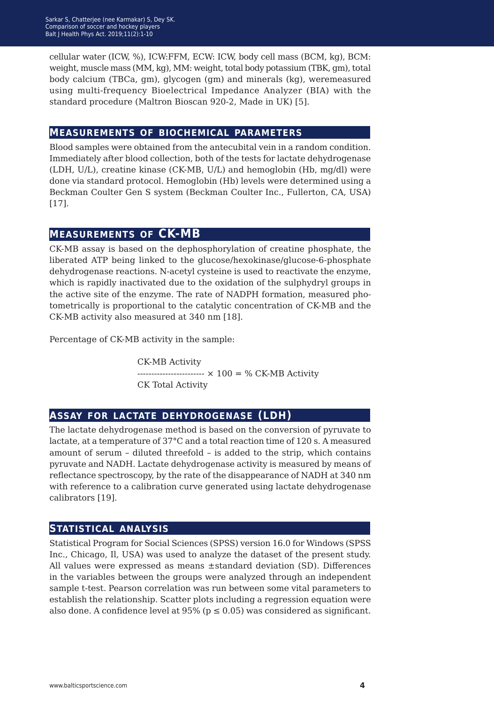cellular water (ICW, %), ICW:FFM, ECW: ICW, body cell mass (BCM, kg), BCM: weight, muscle mass (MM, kg), MM: weight, total body potassium (TBK, gm), total body calcium (TBCa, gm), glycogen (gm) and minerals (kg), weremeasured using multi-frequency Bioelectrical Impedance Analyzer (BIA) with the standard procedure (Maltron Bioscan 920-2, Made in UK) [5].

#### **measurements of biochemical parameters**

Blood samples were obtained from the antecubital vein in a random condition. Immediately after blood collection, both of the tests for lactate dehydrogenase (LDH, U/L), creatine kinase (CK-MB, U/L) and hemoglobin (Hb, mg/dl) were done via standard protocol. Hemoglobin (Hb) levels were determined using a Beckman Coulter Gen S system (Beckman Coulter Inc., Fullerton, CA, USA) [17].

### **measurements of CK-MB**

CK-MB assay is based on the dephosphorylation of creatine phosphate, the liberated ATP being linked to the glucose/hexokinase/glucose-6-phosphate dehydrogenase reactions. N-acetyl cysteine is used to reactivate the enzyme, which is rapidly inactivated due to the oxidation of the sulphydryl groups in the active site of the enzyme. The rate of NADPH formation, measured photometrically is proportional to the catalytic concentration of CK-MB and the CK-MB activity also measured at 340 nm [18].

Percentage of CK-MB activity in the sample:

CK-MB Activity ------------------------ × 100 = % CK-MB Activity CK Total Activity

#### **assay for lactate dehydrogenase (ldh)**

The lactate dehydrogenase method is based on the conversion of pyruvate to lactate, at a temperature of 37°C and a total reaction time of 120 s. A measured amount of serum – diluted threefold – is added to the strip, which contains pyruvate and NADH. Lactate dehydrogenase activity is measured by means of reflectance spectroscopy, by the rate of the disappearance of NADH at 340 nm with reference to a calibration curve generated using lactate dehydrogenase calibrators [19].

#### **statistical analysis**

Statistical Program for Social Sciences (SPSS) version 16.0 for Windows (SPSS Inc., Chicago, Il, USA) was used to analyze the dataset of the present study. All values were expressed as means ±standard deviation (SD). Differences in the variables between the groups were analyzed through an independent sample t-test. Pearson correlation was run between some vital parameters to establish the relationship. Scatter plots including a regression equation were also done. A confidence level at  $95\%$  ( $p \le 0.05$ ) was considered as significant.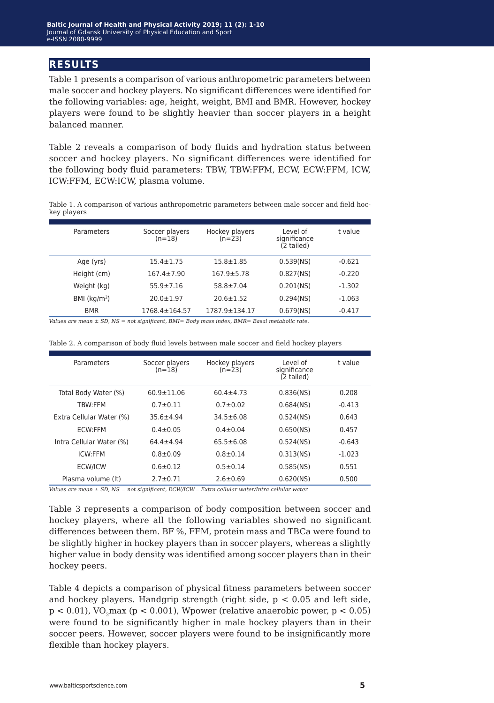#### **results**

Table 1 presents a comparison of various anthropometric parameters between male soccer and hockey players. No significant differences were identified for the following variables: age, height, weight, BMI and BMR. However, hockey players were found to be slightly heavier than soccer players in a height balanced manner.

Table 2 reveals a comparison of body fluids and hydration status between soccer and hockey players. No significant differences were identified for the following body fluid parameters: TBW, TBW:FFM, ECW, ECW:FFM, ICW, ICW:FFM, ECW:ICW, plasma volume.

Table 1. A comparison of various anthropometric parameters between male soccer and field hockey players

| Parameters    | Soccer players<br>$(n=18)$ | Hockey players<br>$(n=23)$ | Level of<br>significance<br>(2 tailed) | t value  |
|---------------|----------------------------|----------------------------|----------------------------------------|----------|
| Age (yrs)     | $15.4 \pm 1.75$            | $15.8 + 1.85$              | $0.539$ (NS)                           | $-0.621$ |
| Height (cm)   | $167.4 \pm 7.90$           | $167.9 \pm 5.78$           | 0.827(NS)                              | $-0.220$ |
| Weight (kg)   | $55.9 \pm 7.16$            | $58.8 \pm 7.04$            | $0.201$ (NS)                           | $-1.302$ |
| BMI $(kq/m2)$ | $20.0 \pm 1.97$            | $20.6 \pm 1.52$            | $0.294$ (NS)                           | $-1.063$ |
| <b>BMR</b>    | 1768.4±164.57              | 1787.9±134.17              | $0.679$ (NS)                           | $-0.417$ |

*Values are mean ± SD, NS = not significant, BMI= Body mass index, BMR= Basal metabolic rate.*

| Table 2. A comparison of body fluid levels between male soccer and field hockey players |  |  |  |  |
|-----------------------------------------------------------------------------------------|--|--|--|--|
|-----------------------------------------------------------------------------------------|--|--|--|--|

| Parameters               | Soccer players<br>$(n=18)$ | Hockey players<br>$(n=23)$ | Level of<br>significance<br>(2 tailed) | t value  |
|--------------------------|----------------------------|----------------------------|----------------------------------------|----------|
| Total Body Water (%)     | $60.9 + 11.06$             | $60.4 + 4.73$              | 0.836(NS)                              | 0.208    |
| <b>TBW:FFM</b>           | $0.7 + 0.11$               | $0.7 + 0.02$               | $0.684$ (NS)                           | $-0.413$ |
| Extra Cellular Water (%) | $35.6 + 4.94$              | $34.5 + 6.08$              | 0.524(NS)                              | 0.643    |
| ECW:FFM                  | $0.4 + 0.05$               | $0.4 + 0.04$               | 0.650(NS)                              | 0.457    |
| Intra Cellular Water (%) | $64.4 + 4.94$              | $65.5 + 6.08$              | 0.524(NS)                              | $-0.643$ |
| ICW:FFM                  | $0.8 + 0.09$               | $0.8 + 0.14$               | $0.313$ (NS)                           | $-1.023$ |
| <b>ECW/ICW</b>           | $0.6 + 0.12$               | $0.5 + 0.14$               | $0.585$ (NS)                           | 0.551    |
| Plasma volume (It)       | $2.7 \pm 0.71$             | $2.6 \pm 0.69$             | 0.620(NS)                              | 0.500    |

*Values are mean ± SD, NS = not significant, ECW/ICW= Extra cellular water/Intra cellular water.*

Table 3 represents a comparison of body composition between soccer and hockey players, where all the following variables showed no significant differences between them. BF %, FFM, protein mass and TBCa were found to be slightly higher in hockey players than in soccer players, whereas a slightly higher value in body density was identified among soccer players than in their hockey peers.

Table 4 depicts a comparison of physical fitness parameters between soccer and hockey players. Handgrip strength (right side,  $p < 0.05$  and left side,  $p < 0.01$ ), VO<sub>2</sub>max ( $p < 0.001$ ), Wpower (relative anaerobic power,  $p < 0.05$ ) were found to be significantly higher in male hockey players than in their soccer peers. However, soccer players were found to be insignificantly more flexible than hockey players.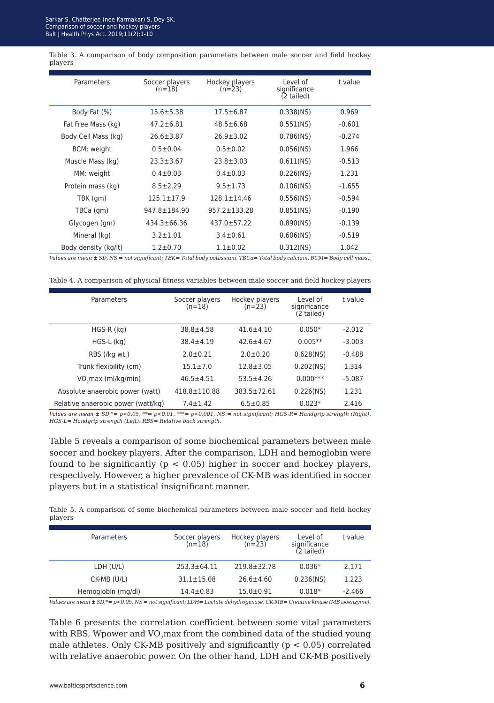Samare, Shatter, School Ramanar, S, S, Blood Blood K-booder after hours, projects<br>alt I Haalth Phys Act, 2010-11/2)-1-10 Balt J Health Phys Act. 2019;11(2):1-10 Sarkar S, Chatterjee (nee Karmakar) S, Dey SK.

Table 3. A comparison of body composition parameters between male soccer and field hockey players

| Parameters           | Soccer players<br>$(n=18)$ | Hockey players<br>$(n=23)$ | Level of<br>significance<br>(2 tailed) | t value  |
|----------------------|----------------------------|----------------------------|----------------------------------------|----------|
| Body Fat (%)         | $15.6 + 5.38$              | $17.5 \pm 6.87$            | 0.338(NS)                              | 0.969    |
| Fat Free Mass (kg)   | $47.2 \pm 6.81$            | $48.5 \pm 6.68$            | 0.551(NS)                              | $-0.601$ |
| Body Cell Mass (kg)  | $26.6 \pm 3.87$            | $26.9 \pm 3.02$            | $0.786$ (NS)                           | $-0.274$ |
| <b>BCM: weight</b>   | $0.5 \pm 0.04$             | $0.5 \pm 0.02$             | $0.056$ (NS)                           | 1.966    |
| Muscle Mass (kg)     | $23.3 \pm 3.67$            | $23.8 + 3.03$              | 0.611(NS)                              | $-0.513$ |
| MM: weight           | $0.4 \pm 0.03$             | $0.4 \pm 0.03$             | 0.226(NS)                              | 1.231    |
| Protein mass (kg)    | $8.5 \pm 2.29$             | $9.5 \pm 1.73$             | $0.106$ (NS)                           | $-1.655$ |
| TBK (gm)             | $125.1 \pm 17.9$           | $128.1 \pm 14.46$          | 0.556(NS)                              | $-0.594$ |
| TBCa (gm)            | $947.8 \pm 184.90$         | $957.2 \pm 133.28$         | $0.851$ (NS)                           | $-0.190$ |
| Glycogen (gm)        | $434.3 \pm 66.36$          | $437.0 \pm 57.22$          | 0.890(NS)                              | $-0.139$ |
| Mineral (kg)         | $3.2 \pm 1.01$             | $3.4 \pm 0.61$             | $0.606$ (NS)                           | $-0.519$ |
| Body density (kg/lt) | $1.2 + 0.70$               | $1.1 \pm 0.02$             | $0.312$ (NS)                           | 1.042    |

*Values are mean ± SD, NS = not significant; TBK= Total body potassium, TBCa= Total body calcium, BCM= Body cell mass..*

Table 4. A comparison of physical fitness variables between male soccer and field hockey players

| Parameters                         | Soccer players<br>$(n=18)$ | Hockey players<br>$(n=23)$ | Level of<br>significance<br>(2 tailed) | t value  |
|------------------------------------|----------------------------|----------------------------|----------------------------------------|----------|
| $HGS-R$ ( $kg$ )                   | $38.8 + 4.58$              | $41.6 \pm 4.10$            | $0.050*$                               | $-2.012$ |
| $HGS-L$ (kg)                       | $38.4 \pm 4.19$            | $42.6 \pm 4.67$            | $0.005**$                              | $-3.003$ |
| RBS (/kg wt.)                      | $2.0 \pm 0.21$             | $2.0 \pm 0.20$             | $0.628$ (NS)                           | $-0.488$ |
| Trunk flexibility (cm)             | $15.1 \pm 7.0$             | $12.8 + 3.05$              | $0.202$ (NS)                           | 1.314    |
| VO <sub>2</sub> max (ml/kg/min)    | $46.5 \pm 4.51$            | $53.5 \pm 4.26$            | $0.000***$                             | $-5.087$ |
| Absolute anaerobic power (watt)    | $418.8 \pm 110.88$         | 383.5±72.61                | 0.226(NS)                              | 1.231    |
| Relative anaerobic power (watt/kg) | $7.4 \pm 1.42$             | $6.5 \pm 0.85$             | $0.023*$                               | 2.416    |

*Values are mean ± SD,\*= p<0.05, \*\*= p<0.01, \*\*\*= p<0.001, NS = not significant; HGS-R= Handgrip strength (Right), HGS-L= Handgrip strength (Left), RBS= Relative back strength.*

Table 5 reveals a comparison of some biochemical parameters between male soccer and hockey players. After the comparison, LDH and hemoglobin were found to be significantly ( $p < 0.05$ ) higher in soccer and hockey players, respectively. However, a higher prevalence of CK-MB was identified in soccer players but in a statistical insignificant manner.

Table 5. A comparison of some biochemical parameters between male soccer and field hockey players

| Parameters         | Soccer players<br>(n=18) | Hockey players<br>(n=23) | Level of<br>significance<br>(2 tailed) | t value  |
|--------------------|--------------------------|--------------------------|----------------------------------------|----------|
| LDH (U/L)          | $253.3 \pm 64.11$        | $219.8 \pm 32.78$        | $0.036*$                               | 2.171    |
| CK-MB (U/L)        | $31.1 \pm 15.08$         | $26.6 \pm 4.60$          | 0.236(NS)                              | 1.223    |
| Hemoglobin (mg/dl) | $14.4 \pm 0.83$          | $15.0 \pm 0.91$          | $0.018*$                               | $-2.466$ |

*Values are mean ± SD,\*= p<0.05, NS = not significant; LDH= Lactate dehydrogenase, CK-MB= Creatine kinase (MB isoenzyme).*

Table 6 presents the correlation coefficient between some vital parameters with RBS, Wpower and VO<sub>2</sub>max from the combined data of the studied young male athletes. Only CK-MB positively and significantly ( $p < 0.05$ ) correlated with relative anaerobic power. On the other hand, LDH and CK-MB positively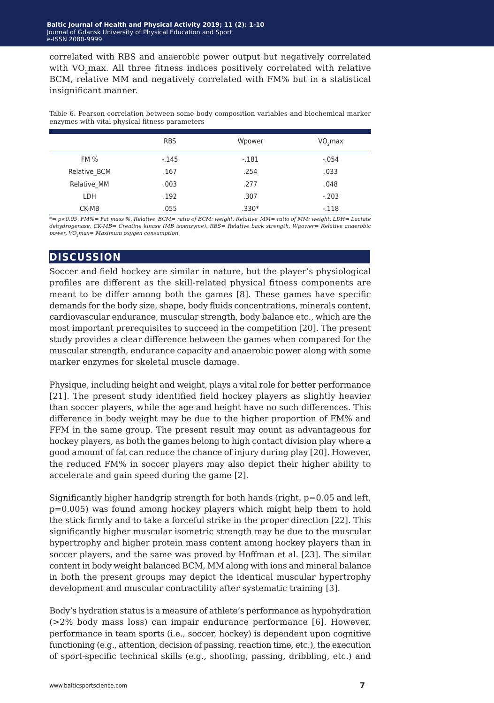correlated with RBS and anaerobic power output but negatively correlated with VO<sub>2</sub>max. All three fitness indices positively correlated with relative BCM, relative MM and negatively correlated with FM% but in a statistical insignificant manner.

Table 6. Pearson correlation between some body composition variables and biochemical marker enzymes with vital physical fitness parameters

|              | <b>RBS</b> | Wpower  | VO, max |
|--------------|------------|---------|---------|
| <b>FM %</b>  | $-145$     | $-.181$ | $-.054$ |
| Relative BCM | .167       | .254    | .033    |
| Relative MM  | .003       | .277    | .048    |
| LDH          | .192       | .307    | $-.203$ |
| CK-MB        | .055       | $.330*$ | $-.118$ |

*\*= p<0.05, FM%= Fat mass %, Relative\_BCM= ratio of BCM: weight, Relative\_MM= ratio of MM: weight, LDH= Lactate dehydrogenase, CK-MB= Creatine kinase (MB isoenzyme), RBS= Relative back strength, Wpower= Relative anaerobic power, VO2max= Maximum oxygen consumption.*

#### **discussion**

Soccer and field hockey are similar in nature, but the player's physiological profiles are different as the skill-related physical fitness components are meant to be differ among both the games [8]. These games have specific demands for the body size, shape, body fluids concentrations, minerals content, cardiovascular endurance, muscular strength, body balance etc., which are the most important prerequisites to succeed in the competition [20]. The present study provides a clear difference between the games when compared for the muscular strength, endurance capacity and anaerobic power along with some marker enzymes for skeletal muscle damage.

Physique, including height and weight, plays a vital role for better performance [21]. The present study identified field hockey players as slightly heavier than soccer players, while the age and height have no such differences. This difference in body weight may be due to the higher proportion of FM% and FFM in the same group. The present result may count as advantageous for hockey players, as both the games belong to high contact division play where a good amount of fat can reduce the chance of injury during play [20]. However, the reduced FM% in soccer players may also depict their higher ability to accelerate and gain speed during the game [2].

Significantly higher handgrip strength for both hands (right,  $p=0.05$  and left, p=0.005) was found among hockey players which might help them to hold the stick firmly and to take a forceful strike in the proper direction [22]. This significantly higher muscular isometric strength may be due to the muscular hypertrophy and higher protein mass content among hockey players than in soccer players, and the same was proved by Hoffman et al. [23]. The similar content in body weight balanced BCM, MM along with ions and mineral balance in both the present groups may depict the identical muscular hypertrophy development and muscular contractility after systematic training [3].

Body's hydration status is a measure of athlete's performance as hypohydration (>2% body mass loss) can impair endurance performance [6]. However, performance in team sports (i.e., soccer, hockey) is dependent upon cognitive functioning (e.g., attention, decision of passing, reaction time, etc.), the execution of sport-specific technical skills (e.g., shooting, passing, dribbling, etc.) and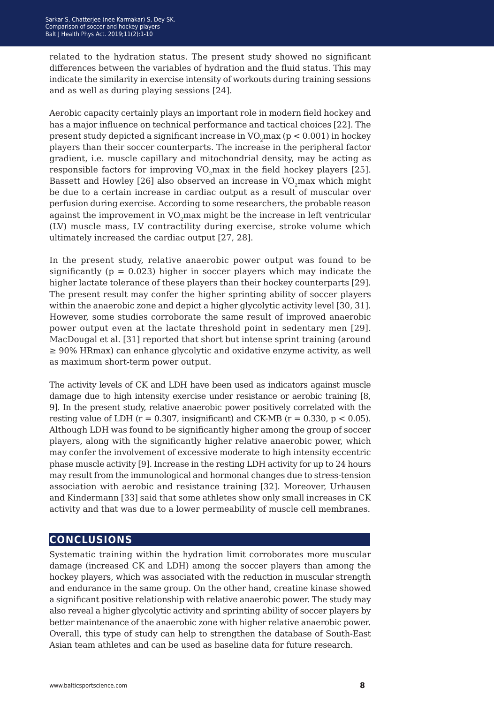related to the hydration status. The present study showed no significant differences between the variables of hydration and the fluid status. This may indicate the similarity in exercise intensity of workouts during training sessions and as well as during playing sessions [24].

Aerobic capacity certainly plays an important role in modern field hockey and has a major influence on technical performance and tactical choices [22]. The present study depicted a significant increase in  $VO<sub>2</sub>$ max (p < 0.001) in hockey players than their soccer counterparts. The increase in the peripheral factor gradient, i.e. muscle capillary and mitochondrial density, may be acting as responsible factors for improving  $VO<sub>2</sub>$  max in the field hockey players [25]. Bassett and Howley [26] also observed an increase in VO<sub>2</sub>max which might be due to a certain increase in cardiac output as a result of muscular over perfusion during exercise. According to some researchers, the probable reason against the improvement in VO<sub>2</sub>max might be the increase in left ventricular (LV) muscle mass, LV contractility during exercise, stroke volume which ultimately increased the cardiac output [27, 28].

In the present study, relative anaerobic power output was found to be significantly ( $p = 0.023$ ) higher in soccer players which may indicate the higher lactate tolerance of these players than their hockey counterparts [29]. The present result may confer the higher sprinting ability of soccer players within the anaerobic zone and depict a higher glycolytic activity level [30, 31]. However, some studies corroborate the same result of improved anaerobic power output even at the lactate threshold point in sedentary men [29]. MacDougal et al. [31] reported that short but intense sprint training (around ≥ 90% HRmax) can enhance glycolytic and oxidative enzyme activity, as well as maximum short-term power output.

The activity levels of CK and LDH have been used as indicators against muscle damage due to high intensity exercise under resistance or aerobic training [8, 9]. In the present study, relative anaerobic power positively correlated with the resting value of LDH ( $r = 0.307$ , insignificant) and CK-MB ( $r = 0.330$ ,  $p < 0.05$ ). Although LDH was found to be significantly higher among the group of soccer players, along with the significantly higher relative anaerobic power, which may confer the involvement of excessive moderate to high intensity eccentric phase muscle activity [9]. Increase in the resting LDH activity for up to 24 hours may result from the immunological and hormonal changes due to stress-tension association with aerobic and resistance training [32]. Moreover, Urhausen and Kindermann [33] said that some athletes show only small increases in CK activity and that was due to a lower permeability of muscle cell membranes.

#### **conclusions**

Systematic training within the hydration limit corroborates more muscular damage (increased CK and LDH) among the soccer players than among the hockey players, which was associated with the reduction in muscular strength and endurance in the same group. On the other hand, creatine kinase showed a significant positive relationship with relative anaerobic power. The study may also reveal a higher glycolytic activity and sprinting ability of soccer players by better maintenance of the anaerobic zone with higher relative anaerobic power. Overall, this type of study can help to strengthen the database of South-East Asian team athletes and can be used as baseline data for future research.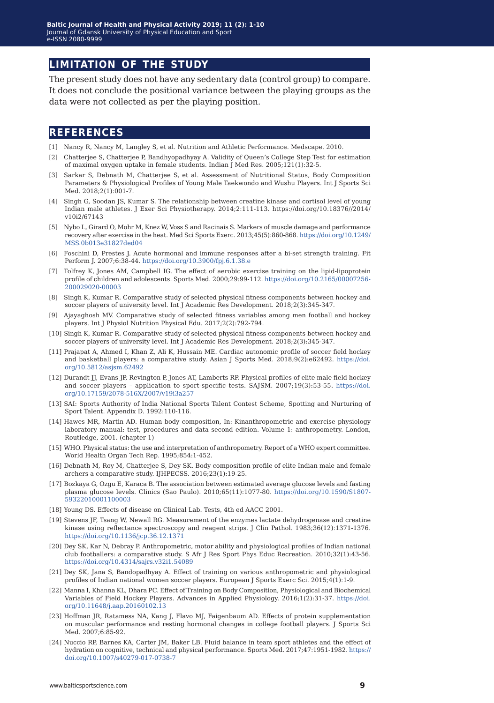#### **limitation of the study**

The present study does not have any sedentary data (control group) to compare. It does not conclude the positional variance between the playing groups as the data were not collected as per the playing position.

#### **references**

- [1] Nancy R, Nancy M, Langley S, et al. Nutrition and Athletic Performance. Medscape. 2010.
- [2] Chatterjee S, Chatterjee P, Bandhyopadhyay A. Validity of Queen's College Step Test for estimation of maximal oxygen uptake in female students. Indian J Med Res. 2005;121(1):32-5.
- [3] Sarkar S, Debnath M, Chatterjee S, et al. Assessment of Nutritional Status, Body Composition Parameters & Physiological Profiles of Young Male Taekwondo and Wushu Players. Int J Sports Sci Med. 2018;2(1):001-7.
- [4] Singh G, Soodan JS, Kumar S. The relationship between creatine kinase and cortisol level of young Indian male athletes. J Exer Sci Physiotherapy. 2014;2:111-113. [https://doi.org/10.18376//2014/](https://doi.org/10.18376//2014/v10i2/67143
) [v10i2/67143](https://doi.org/10.18376//2014/v10i2/67143
)
- [5] Nybo L, Girard O, Mohr M, Knez W, Voss S and Racinais S. Markers of muscle damage and performance recovery after exercise in the heat. Med Sci Sports Exerc. 2013;45(5):860-868. [https://doi.org/10.1249/](https://doi.org/10.1249/MSS.0b013e31827ded04
) [MSS.0b013e31827ded04](https://doi.org/10.1249/MSS.0b013e31827ded04
)
- [6] Foschini D, Prestes J. Acute hormonal and immune responses after a bi-set strength training. Fit Perform J. 2007;6:38-44. <https://doi.org/10.3900/fpj.6.1.38.e>
- [7] Tolfrey K, Jones AM, Campbell IG. The effect of aerobic exercise training on the lipid-lipoprotein profile of children and adolescents. Sports Med. 2000;29:99-112. [https://doi.org/10.2165/00007256-](https://doi.org/10.2165/00007256-200029020-00003) [200029020-00003](https://doi.org/10.2165/00007256-200029020-00003)
- [8] Singh K, Kumar R. Comparative study of selected physical fitness components between hockey and soccer players of university level. Int J Academic Res Development. 2018;2(3):345-347.
- [9] Ajayaghosh MV. Comparative study of selected fitness variables among men football and hockey players. Int J Physiol Nutrition Physical Edu. 2017;2(2):792-794.
- [10] Singh K, Kumar R. Comparative study of selected physical fitness components between hockey and soccer players of university level. Int J Academic Res Development. 2018;2(3):345-347.
- [11] Prajapat A, Ahmed I, Khan Z, Ali K, Hussain ME. Cardiac autonomic profile of soccer field hockey and basketball players: a comparative study. Asian J Sports Med. 2018;9(2):e62492. [https://doi.](https://doi.org/10.5812/asjsm.62492
) [org/10.5812/asjsm.62492](https://doi.org/10.5812/asjsm.62492
)
- [12] Durandt JJ, Evans JP, Revington P, Jones AT, Lamberts RP. Physical profiles of elite male field hockey and soccer players – application to sport-specific tests. SAJSM. 2007;19(3):53-55. [https://doi.](https://doi.org/10.17159/2078-516X/2007/v19i3a257
) [org/10.17159/2078-516X/2007/v19i3a257](https://doi.org/10.17159/2078-516X/2007/v19i3a257
)
- [13] SAI: Sports Authority of India National Sports Talent Contest Scheme, Spotting and Nurturing of Sport Talent. Appendix D. 1992:110-116.
- [14] Hawes MR, Martin AD. Human body composition, In: Kinanthropometric and exercise physiology laboratory manual: test, procedures and data second edition. Volume 1: anthropometry. London, Routledge, 2001. (chapter 1)
- [15] WHO. Physical status: the use and interpretation of anthropometry. Report of a WHO expert committee. World Health Organ Tech Rep. 1995;854:1-452.
- [16] Debnath M, Roy M, Chatterjee S, Dey SK. Body composition profile of elite Indian male and female archers a comparative study. IJHPECSS. 2016;23(1):19-25.
- [17] Bozkaya G, Ozgu E, Karaca B. The association between estimated average glucose levels and fasting plasma glucose levels. Clinics (Sao Paulo). 2010;65(11):1077-80. [https://doi.org/10.1590/S1807-](https://doi.org/10.1590/S1807-59322010001100003) [59322010001100003](https://doi.org/10.1590/S1807-59322010001100003)
- [18] Young DS. Effects of disease on Clinical Lab. Tests, 4th ed AACC 2001.
- [19] Stevens JF, Tsang W, Newall RG. Measurement of the enzymes lactate dehydrogenase and creatine kinase using reflectance spectroscopy and reagent strips. J Clin Pathol. 1983;36(12):1371-1376. <https://doi.org/10.1136/jcp.36.12.1371>
- [20] Dey SK, Kar N, Debray P. Anthropometric, motor ability and physiological profiles of Indian national club footballers: a comparative study. S Afr J Res Sport Phys Educ Recreation. 2010;32(1):43-56. <https://doi.org/10.4314/sajrs.v32i1.54089>
- [21] Dey SK, Jana S, Bandopadhyay A. Effect of training on various anthropometric and physiological profiles of Indian national women soccer players. European J Sports Exerc Sci. 2015;4(1):1-9.
- [22] Manna I, Khanna KL, Dhara PC. Effect of Training on Body Composition, Physiological and Biochemical Variables of Field Hockey Players. Advances in Applied Physiology. 2016;1(2):31-37. [https://doi.](https://doi.org/10.11648/j.aap.20160102.13) [org/10.11648/j.aap.20160102.13](https://doi.org/10.11648/j.aap.20160102.13)
- [23] Hoffman JR, Ratamess NA, Kang J, Flavo MJ, Faigenbaum AD. Effects of protein supplementation on muscular performance and resting hormonal changes in college football players. J Sports Sci Med. 2007;6:85-92.
- [24] Nuccio RP, Barnes KA, Carter JM, Baker LB. Fluid balance in team sport athletes and the effect of hydration on cognitive, technical and physical performance. Sports Med. 2017;47:1951-1982. [https://](https://doi.org/10.1007/s40279-017-0738-7) [doi.org/10.1007/s40279-017-0738-7](https://doi.org/10.1007/s40279-017-0738-7)